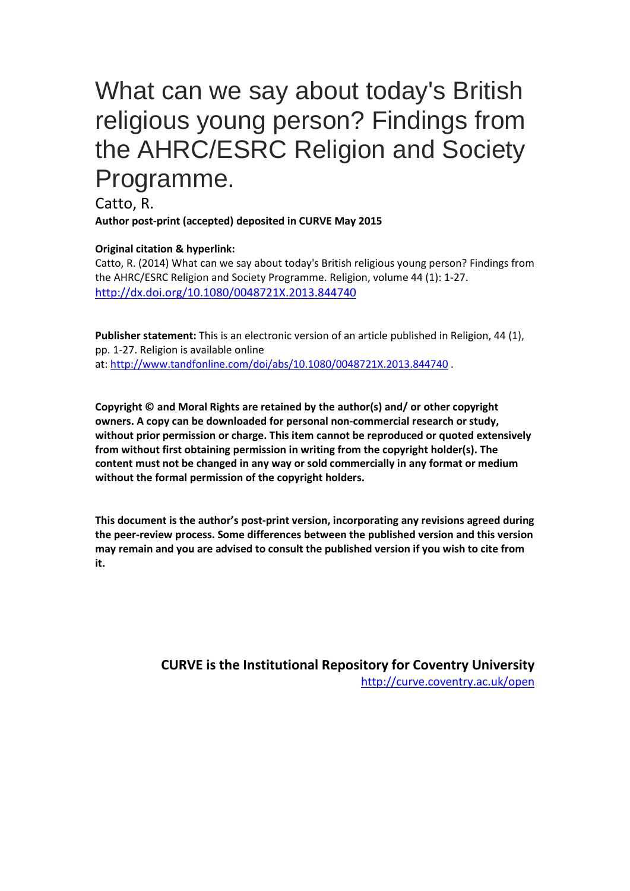# What can we say about today's British religious young person? Findings from the AHRC/ESRC Religion and Society Programme.

Catto, R. **Author post-print (accepted) deposited in CURVE May 2015**

# **Original citation & hyperlink:**

Catto, R. (2014) What can we say about today's British religious young person? Findings from the AHRC/ESRC Religion and Society Programme. Religion, volume 44 (1): 1-27. <http://dx.doi.org/10.1080/0048721X.2013.844740>

**Publisher statement:** This is an electronic version of an article published in Religion, 44 (1), pp. 1-27. Religion is available online at:<http://www.tandfonline.com/doi/abs/10.1080/0048721X.2013.844740> .

**Copyright © and Moral Rights are retained by the author(s) and/ or other copyright owners. A copy can be downloaded for personal non-commercial research or study, without prior permission or charge. This item cannot be reproduced or quoted extensively from without first obtaining permission in writing from the copyright holder(s). The content must not be changed in any way or sold commercially in any format or medium without the formal permission of the copyright holders.** 

**This document is the author's post-print version, incorporating any revisions agreed during the peer-review process. Some differences between the published version and this version may remain and you are advised to consult the published version if you wish to cite from it.** 

> **CURVE is the Institutional Repository for Coventry University** <http://curve.coventry.ac.uk/open>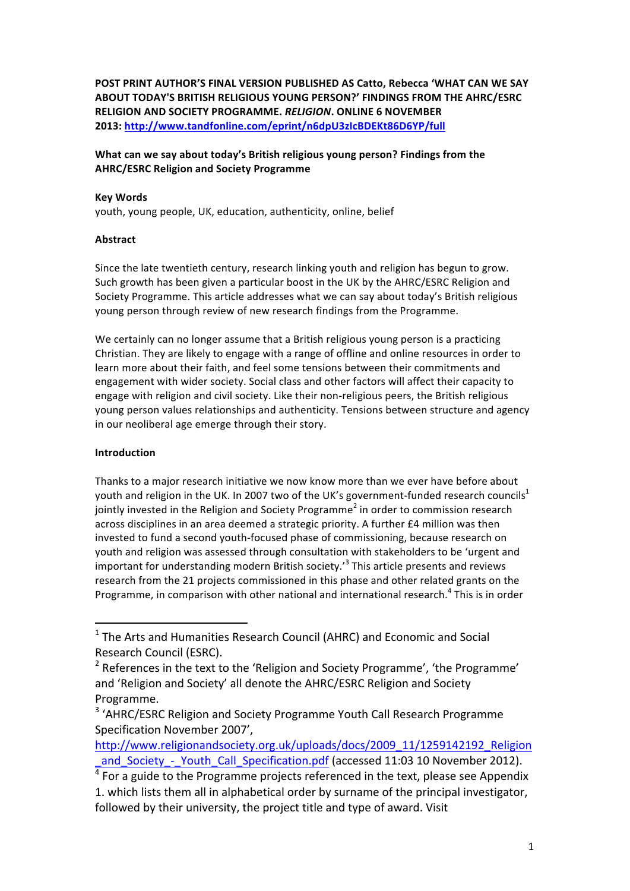**POST PRINT AUTHOR'S FINAL VERSION PUBLISHED AS Catto, Rebecca 'WHAT CAN WE SAY ABOUT TODAY'S BRITISH RELIGIOUS YOUNG PERSON?' FINDINGS FROM THE AHRC/ESRC RELIGION AND SOCIETY PROGRAMME.** *RELIGION***. ONLINE 6 NOVEMBER 2013: http://www.tandfonline.com/eprint/n6dpU3zIcBDEKt86D6YP/full**

What can we say about today's British religious young person? Findings from the **AHRC/ESRC Religion and Society Programme**

# **Key Words**

youth, young people, UK, education, authenticity, online, belief

# **Abstract**

Since the late twentieth century, research linking youth and religion has begun to grow. Such growth has been given a particular boost in the UK by the AHRC/ESRC Religion and Society Programme. This article addresses what we can say about today's British religious young person through review of new research findings from the Programme.

We certainly can no longer assume that a British religious young person is a practicing Christian. They are likely to engage with a range of offline and online resources in order to learn more about their faith, and feel some tensions between their commitments and engagement with wider society. Social class and other factors will affect their capacity to engage with religion and civil society. Like their non-religious peers, the British religious young person values relationships and authenticity. Tensions between structure and agency in our neoliberal age emerge through their story.

# **Introduction**

<u> 1989 - Johann Stein, fransk politiker (d. 1989)</u>

Thanks to a major research initiative we now know more than we ever have before about youth and religion in the UK. In 2007 two of the UK's government-funded research councils<sup>1</sup> jointly invested in the Religion and Society Programme<sup>2</sup> in order to commission research across disciplines in an area deemed a strategic priority. A further £4 million was then invested to fund a second youth-focused phase of commissioning, because research on youth and religion was assessed through consultation with stakeholders to be 'urgent and important for understanding modern British society.<sup>3</sup> This article presents and reviews research from the 21 projects commissioned in this phase and other related grants on the Programme, in comparison with other national and international research.<sup>4</sup> This is in order

 $1$  The Arts and Humanities Research Council (AHRC) and Economic and Social Research Council (ESRC).

 $2$  References in the text to the 'Religion and Society Programme', 'the Programme' and 'Religion and Society' all denote the AHRC/ESRC Religion and Society Programme.

<sup>&</sup>lt;sup>3</sup> 'AHRC/ESRC Religion and Society Programme Youth Call Research Programme Specification November 2007',

http://www.religionandsociety.org.uk/uploads/docs/2009\_11/1259142192\_Religion and Society - Youth Call Specification.pdf (accessed 11:03 10 November 2012).

<sup>&</sup>lt;sup>4</sup> For a guide to the Programme projects referenced in the text, please see Appendix 1. which lists them all in alphabetical order by surname of the principal investigator, followed by their university, the project title and type of award. Visit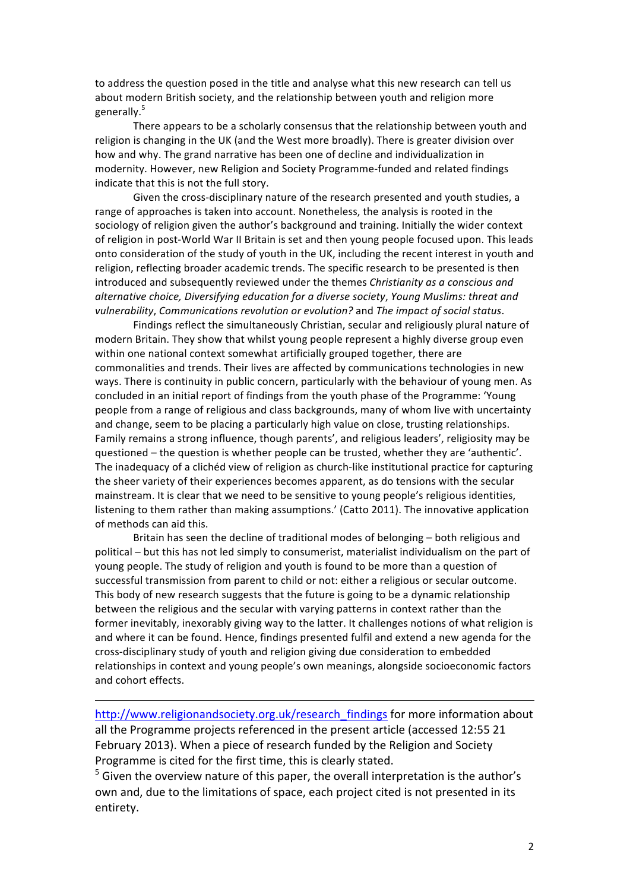to address the question posed in the title and analyse what this new research can tell us about modern British society, and the relationship between youth and religion more generally.<sup>5</sup>

There appears to be a scholarly consensus that the relationship between youth and religion is changing in the UK (and the West more broadly). There is greater division over how and why. The grand narrative has been one of decline and individualization in modernity. However, new Religion and Society Programme-funded and related findings indicate that this is not the full story.

Given the cross-disciplinary nature of the research presented and youth studies, a range of approaches is taken into account. Nonetheless, the analysis is rooted in the sociology of religion given the author's background and training. Initially the wider context of religion in post-World War II Britain is set and then young people focused upon. This leads onto consideration of the study of youth in the UK, including the recent interest in youth and religion, reflecting broader academic trends. The specific research to be presented is then introduced and subsequently reviewed under the themes *Christianity* as a conscious and *alternative choice, Diversifying education for a diverse society*, *Young Muslims: threat and vulnerability, Communications revolution or evolution?* and *The impact of social status*.

Findings reflect the simultaneously Christian, secular and religiously plural nature of modern Britain. They show that whilst young people represent a highly diverse group even within one national context somewhat artificially grouped together, there are commonalities and trends. Their lives are affected by communications technologies in new ways. There is continuity in public concern, particularly with the behaviour of young men. As concluded in an initial report of findings from the youth phase of the Programme: 'Young people from a range of religious and class backgrounds, many of whom live with uncertainty and change, seem to be placing a particularly high value on close, trusting relationships. Family remains a strong influence, though parents', and religious leaders', religiosity may be questioned – the question is whether people can be trusted, whether they are 'authentic'. The inadequacy of a clichéd view of religion as church-like institutional practice for capturing the sheer variety of their experiences becomes apparent, as do tensions with the secular mainstream. It is clear that we need to be sensitive to young people's religious identities, listening to them rather than making assumptions.' (Catto 2011). The innovative application of methods can aid this.

Britain has seen the decline of traditional modes of belonging - both religious and political – but this has not led simply to consumerist, materialist individualism on the part of young people. The study of religion and youth is found to be more than a question of successful transmission from parent to child or not: either a religious or secular outcome. This body of new research suggests that the future is going to be a dynamic relationship between the religious and the secular with varying patterns in context rather than the former inevitably, inexorably giving way to the latter. It challenges notions of what religion is and where it can be found. Hence, findings presented fulfil and extend a new agenda for the cross-disciplinary study of youth and religion giving due consideration to embedded relationships in context and young people's own meanings, alongside socioeconomic factors and cohort effects.

http://www.religionandsociety.org.uk/research\_findings for more information about all the Programme projects referenced in the present article (accessed 12:55 21 February 2013). When a piece of research funded by the Religion and Society Programme is cited for the first time, this is clearly stated.

<u> 1989 - Johann Stoff, amerikansk politik (d. 1989)</u>

 $<sup>5</sup>$  Given the overview nature of this paper, the overall interpretation is the author's</sup> own and, due to the limitations of space, each project cited is not presented in its entirety.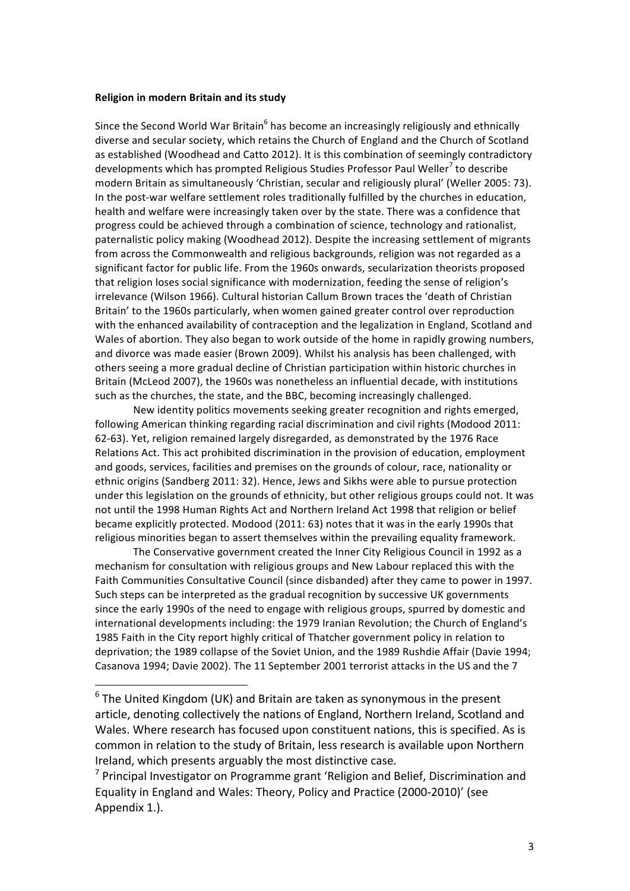### **Religion in modern Britain and its study**

<u> 1989 - Johann Stein, fransk politiker (d. 1989)</u>

Since the Second World War Britain<sup>6</sup> has become an increasingly religiously and ethnically diverse and secular society, which retains the Church of England and the Church of Scotland as established (Woodhead and Catto 2012). It is this combination of seemingly contradictory developments which has prompted Religious Studies Professor Paul Weller<sup>7</sup> to describe modern Britain as simultaneously 'Christian, secular and religiously plural' (Weller 2005: 73). In the post-war welfare settlement roles traditionally fulfilled by the churches in education, health and welfare were increasingly taken over by the state. There was a confidence that progress could be achieved through a combination of science, technology and rationalist, paternalistic policy making (Woodhead 2012). Despite the increasing settlement of migrants from across the Commonwealth and religious backgrounds, religion was not regarded as a significant factor for public life. From the 1960s onwards, secularization theorists proposed that religion loses social significance with modernization, feeding the sense of religion's irrelevance (Wilson 1966). Cultural historian Callum Brown traces the 'death of Christian Britain' to the 1960s particularly, when women gained greater control over reproduction with the enhanced availability of contraception and the legalization in England, Scotland and Wales of abortion. They also began to work outside of the home in rapidly growing numbers, and divorce was made easier (Brown 2009). Whilst his analysis has been challenged, with others seeing a more gradual decline of Christian participation within historic churches in Britain (McLeod 2007), the 1960s was nonetheless an influential decade, with institutions such as the churches, the state, and the BBC, becoming increasingly challenged.

New identity politics movements seeking greater recognition and rights emerged, following American thinking regarding racial discrimination and civil rights (Modood 2011: 62-63). Yet, religion remained largely disregarded, as demonstrated by the 1976 Race Relations Act. This act prohibited discrimination in the provision of education, employment and goods, services, facilities and premises on the grounds of colour, race, nationality or ethnic origins (Sandberg 2011: 32). Hence, Jews and Sikhs were able to pursue protection under this legislation on the grounds of ethnicity, but other religious groups could not. It was not until the 1998 Human Rights Act and Northern Ireland Act 1998 that religion or belief became explicitly protected. Modood (2011: 63) notes that it was in the early 1990s that religious minorities began to assert themselves within the prevailing equality framework.

The Conservative government created the Inner City Religious Council in 1992 as a mechanism for consultation with religious groups and New Labour replaced this with the Faith Communities Consultative Council (since disbanded) after they came to power in 1997. Such steps can be interpreted as the gradual recognition by successive UK governments since the early 1990s of the need to engage with religious groups, spurred by domestic and international developments including: the 1979 Iranian Revolution; the Church of England's 1985 Faith in the City report highly critical of Thatcher government policy in relation to deprivation; the 1989 collapse of the Soviet Union, and the 1989 Rushdie Affair (Davie 1994; Casanova 1994; Davie 2002). The 11 September 2001 terrorist attacks in the US and the 7

 $6$  The United Kingdom (UK) and Britain are taken as synonymous in the present article, denoting collectively the nations of England, Northern Ireland, Scotland and Wales. Where research has focused upon constituent nations, this is specified. As is common in relation to the study of Britain, less research is available upon Northern Ireland, which presents arguably the most distinctive case.

 $<sup>7</sup>$  Principal Investigator on Programme grant 'Religion and Belief, Discrimination and</sup> Equality in England and Wales: Theory, Policy and Practice (2000-2010)' (see Appendix 1.).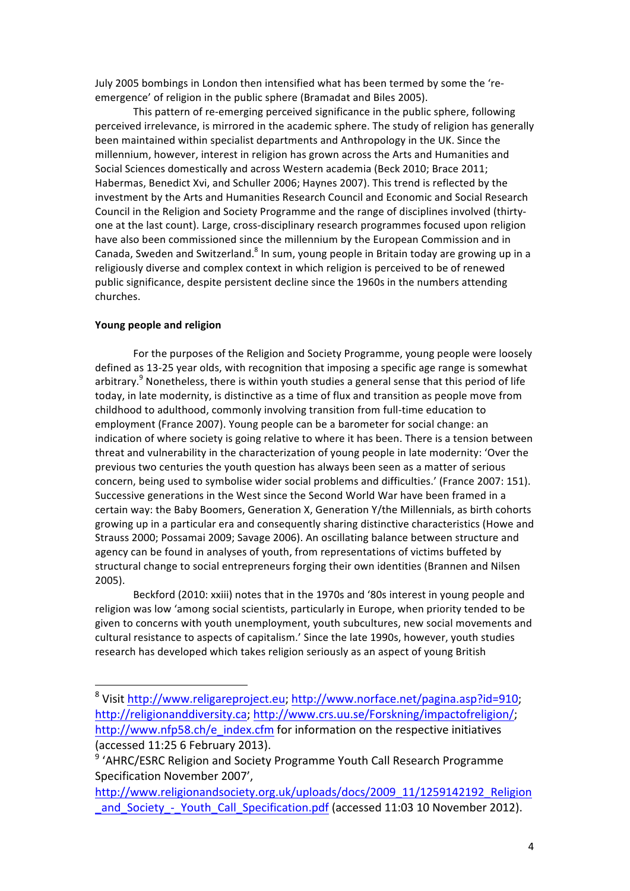July 2005 bombings in London then intensified what has been termed by some the 'reemergence' of religion in the public sphere (Bramadat and Biles 2005).

This pattern of re-emerging perceived significance in the public sphere, following perceived irrelevance, is mirrored in the academic sphere. The study of religion has generally been maintained within specialist departments and Anthropology in the UK. Since the millennium, however, interest in religion has grown across the Arts and Humanities and Social Sciences domestically and across Western academia (Beck 2010; Brace 2011; Habermas, Benedict Xvi, and Schuller 2006; Haynes 2007). This trend is reflected by the investment by the Arts and Humanities Research Council and Economic and Social Research Council in the Religion and Society Programme and the range of disciplines involved (thirtyone at the last count). Large, cross-disciplinary research programmes focused upon religion have also been commissioned since the millennium by the European Commission and in Canada, Sweden and Switzerland.<sup>8</sup> In sum, young people in Britain today are growing up in a religiously diverse and complex context in which religion is perceived to be of renewed public significance, despite persistent decline since the 1960s in the numbers attending churches.

## **Young people and religion**

<u> 1989 - Johann Stein, fransk politiker (d. 1989)</u>

For the purposes of the Religion and Society Programme, young people were loosely defined as 13-25 year olds, with recognition that imposing a specific age range is somewhat arbitrary. $9$  Nonetheless, there is within youth studies a general sense that this period of life today, in late modernity, is distinctive as a time of flux and transition as people move from childhood to adulthood, commonly involving transition from full-time education to employment (France 2007). Young people can be a barometer for social change: an indication of where society is going relative to where it has been. There is a tension between threat and vulnerability in the characterization of young people in late modernity: 'Over the previous two centuries the youth question has always been seen as a matter of serious concern, being used to symbolise wider social problems and difficulties.' (France 2007: 151). Successive generations in the West since the Second World War have been framed in a certain way: the Baby Boomers, Generation X, Generation Y/the Millennials, as birth cohorts growing up in a particular era and consequently sharing distinctive characteristics (Howe and Strauss 2000; Possamai 2009; Savage 2006). An oscillating balance between structure and agency can be found in analyses of youth, from representations of victims buffeted by structural change to social entrepreneurs forging their own identities (Brannen and Nilsen 2005). 

Beckford (2010: xxiii) notes that in the 1970s and '80s interest in young people and religion was low 'among social scientists, particularly in Europe, when priority tended to be given to concerns with youth unemployment, youth subcultures, new social movements and cultural resistance to aspects of capitalism.' Since the late 1990s, however, youth studies research has developed which takes religion seriously as an aspect of young British

<sup>&</sup>lt;sup>8</sup> Visit http://www.religareproject.eu; http://www.norface.net/pagina.asp?id=910; http://religionanddiversity.ca; http://www.crs.uu.se/Forskning/impactofreligion/; http://www.nfp58.ch/e index.cfm for information on the respective initiatives (accessed 11:25 6 February 2013).

<sup>&</sup>lt;sup>9</sup> 'AHRC/ESRC Religion and Society Programme Youth Call Research Programme Specification November 2007',

http://www.religionandsociety.org.uk/uploads/docs/2009\_11/1259142192\_Religion and Society - Youth Call Specification.pdf (accessed 11:03 10 November 2012).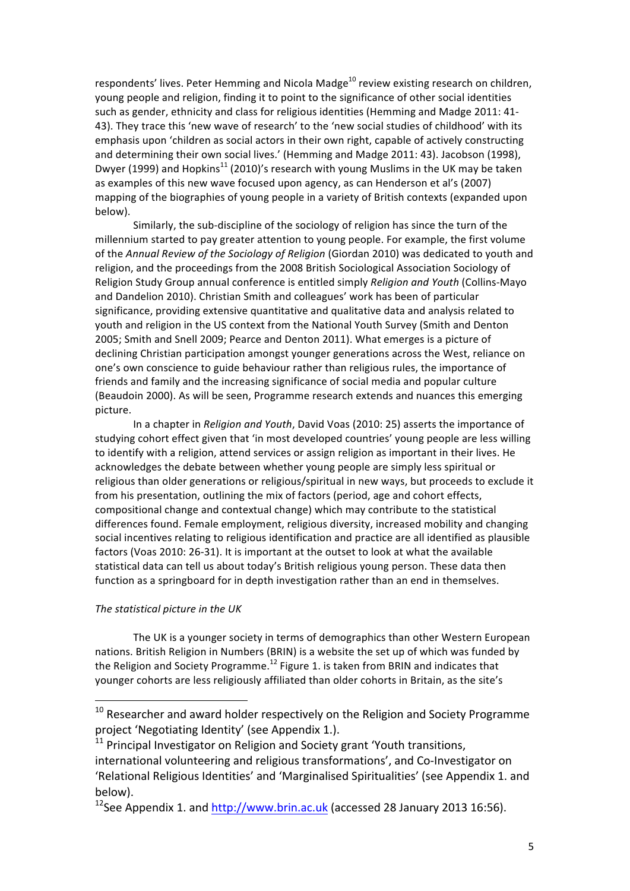respondents' lives. Peter Hemming and Nicola Madge<sup>10</sup> review existing research on children, young people and religion, finding it to point to the significance of other social identities such as gender, ethnicity and class for religious identities (Hemming and Madge 2011: 41-43). They trace this 'new wave of research' to the 'new social studies of childhood' with its emphasis upon 'children as social actors in their own right, capable of actively constructing and determining their own social lives.' (Hemming and Madge 2011: 43). Jacobson (1998), Dwyer (1999) and Hopkins<sup>11</sup> (2010)'s research with young Muslims in the UK may be taken as examples of this new wave focused upon agency, as can Henderson et al's (2007) mapping of the biographies of young people in a variety of British contexts (expanded upon below). 

Similarly, the sub-discipline of the sociology of religion has since the turn of the millennium started to pay greater attention to young people. For example, the first volume of the *Annual Review of the Sociology of Religion* (Giordan 2010) was dedicated to youth and religion, and the proceedings from the 2008 British Sociological Association Sociology of Religion Study Group annual conference is entitled simply *Religion and Youth* (Collins-Mayo and Dandelion 2010). Christian Smith and colleagues' work has been of particular significance, providing extensive quantitative and qualitative data and analysis related to youth and religion in the US context from the National Youth Survey (Smith and Denton 2005; Smith and Snell 2009; Pearce and Denton 2011). What emerges is a picture of declining Christian participation amongst younger generations across the West, reliance on one's own conscience to guide behaviour rather than religious rules, the importance of friends and family and the increasing significance of social media and popular culture (Beaudoin 2000). As will be seen, Programme research extends and nuances this emerging picture.

In a chapter in *Religion and Youth*, David Voas (2010: 25) asserts the importance of studying cohort effect given that 'in most developed countries' young people are less willing to identify with a religion, attend services or assign religion as important in their lives. He acknowledges the debate between whether young people are simply less spiritual or religious than older generations or religious/spiritual in new ways, but proceeds to exclude it from his presentation, outlining the mix of factors (period, age and cohort effects, compositional change and contextual change) which may contribute to the statistical differences found. Female employment, religious diversity, increased mobility and changing social incentives relating to religious identification and practice are all identified as plausible factors (Voas 2010: 26-31). It is important at the outset to look at what the available statistical data can tell us about today's British religious young person. These data then function as a springboard for in depth investigation rather than an end in themselves.

## The statistical picture in the UK

 

The UK is a younger society in terms of demographics than other Western European nations. British Religion in Numbers (BRIN) is a website the set up of which was funded by the Religion and Society Programme.<sup>12</sup> Figure 1. is taken from BRIN and indicates that younger cohorts are less religiously affiliated than older cohorts in Britain, as the site's

 $10$  Researcher and award holder respectively on the Religion and Society Programme project 'Negotiating Identity' (see Appendix 1.).

 $11$  Principal Investigator on Religion and Society grant 'Youth transitions, international volunteering and religious transformations', and Co-Investigator on 'Relational Religious Identities' and 'Marginalised Spiritualities' (see Appendix 1. and below).

<sup>&</sup>lt;sup>12</sup>See Appendix 1. and http://www.brin.ac.uk (accessed 28 January 2013 16:56).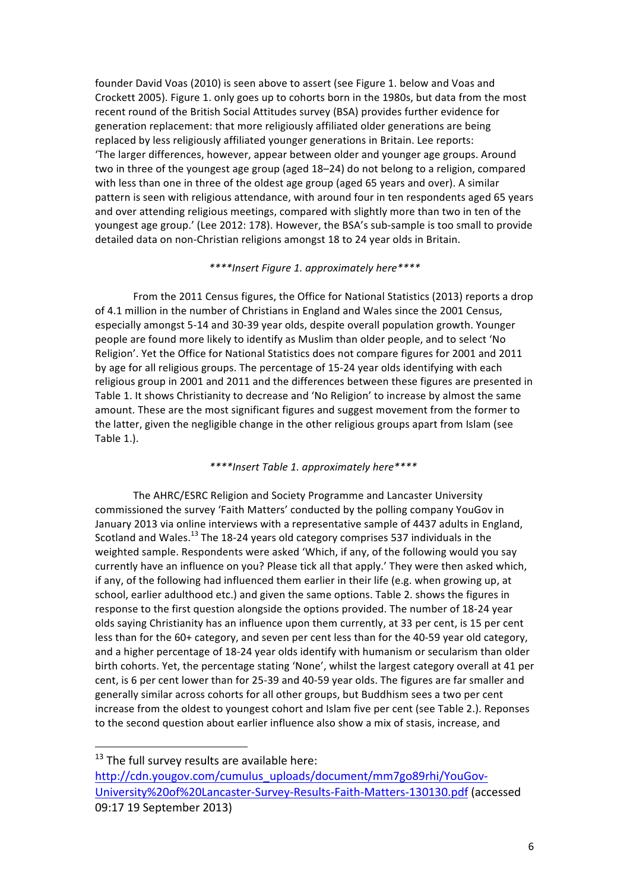founder David Voas (2010) is seen above to assert (see Figure 1. below and Voas and Crockett 2005). Figure 1. only goes up to cohorts born in the 1980s, but data from the most recent round of the British Social Attitudes survey (BSA) provides further evidence for generation replacement: that more religiously affiliated older generations are being replaced by less religiously affiliated younger generations in Britain. Lee reports: 'The larger differences, however, appear between older and younger age groups. Around two in three of the youngest age group (aged 18–24) do not belong to a religion, compared with less than one in three of the oldest age group (aged 65 years and over). A similar pattern is seen with religious attendance, with around four in ten respondents aged 65 years and over attending religious meetings, compared with slightly more than two in ten of the youngest age group.' (Lee 2012: 178). However, the BSA's sub-sample is too small to provide detailed data on non-Christian religions amongst 18 to 24 year olds in Britain.

## *\*\*\*\*Insert Figure 1. approximately here\*\*\*\**

From the 2011 Census figures, the Office for National Statistics (2013) reports a drop of 4.1 million in the number of Christians in England and Wales since the 2001 Census, especially amongst 5-14 and 30-39 year olds, despite overall population growth. Younger people are found more likely to identify as Muslim than older people, and to select 'No Religion'. Yet the Office for National Statistics does not compare figures for 2001 and 2011 by age for all religious groups. The percentage of 15-24 year olds identifying with each religious group in 2001 and 2011 and the differences between these figures are presented in Table 1. It shows Christianity to decrease and 'No Religion' to increase by almost the same amount. These are the most significant figures and suggest movement from the former to the latter, given the negligible change in the other religious groups apart from Islam (see Table 1.).

## *\*\*\*\*Insert Table 1. approximately here\*\*\*\**

The AHRC/ESRC Religion and Society Programme and Lancaster University commissioned the survey 'Faith Matters' conducted by the polling company YouGov in January 2013 via online interviews with a representative sample of 4437 adults in England, Scotland and Wales.<sup>13</sup> The 18-24 years old category comprises 537 individuals in the weighted sample. Respondents were asked 'Which, if any, of the following would you say currently have an influence on you? Please tick all that apply.' They were then asked which, if any, of the following had influenced them earlier in their life (e.g. when growing up, at school, earlier adulthood etc.) and given the same options. Table 2. shows the figures in response to the first question alongside the options provided. The number of 18-24 year olds saying Christianity has an influence upon them currently, at 33 per cent, is 15 per cent less than for the 60+ category, and seven per cent less than for the 40-59 year old category, and a higher percentage of 18-24 year olds identify with humanism or secularism than older birth cohorts. Yet, the percentage stating 'None', whilst the largest category overall at 41 per cent, is 6 per cent lower than for 25-39 and 40-59 year olds. The figures are far smaller and generally similar across cohorts for all other groups, but Buddhism sees a two per cent increase from the oldest to youngest cohort and Islam five per cent (see Table 2.). Reponses to the second question about earlier influence also show a mix of stasis, increase, and

 $13$  The full survey results are available here: http://cdn.yougov.com/cumulus\_uploads/document/mm7go89rhi/YouGov-University%20of%20Lancaster-Survey-Results-Faith-Matters-130130.pdf (accessed 09:17 19 September 2013)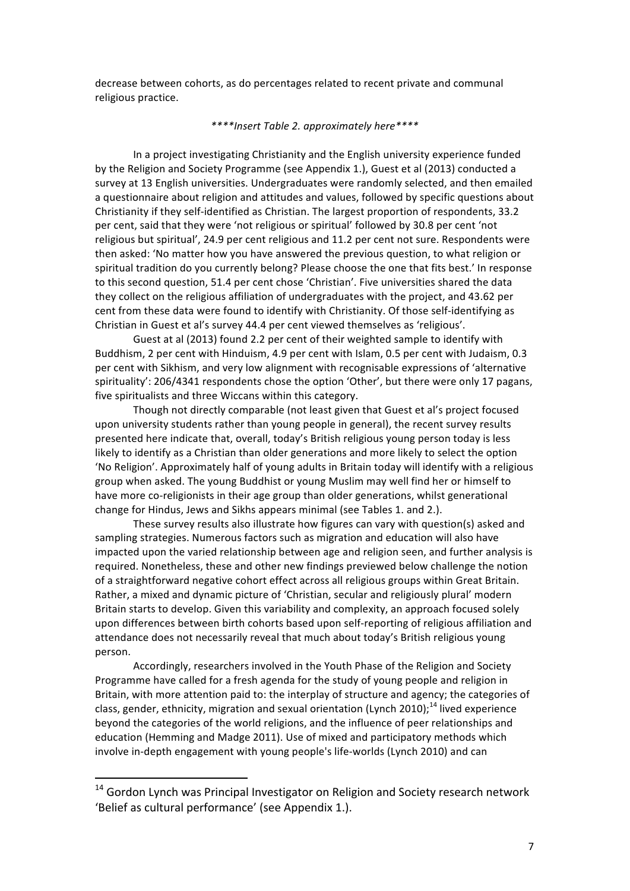decrease between cohorts, as do percentages related to recent private and communal religious practice.

### *\*\*\*\*Insert Table 2. approximately here\*\*\*\**

In a project investigating Christianity and the English university experience funded by the Religion and Society Programme (see Appendix 1.), Guest et al (2013) conducted a survey at 13 English universities. Undergraduates were randomly selected, and then emailed a questionnaire about religion and attitudes and values, followed by specific questions about Christianity if they self-identified as Christian. The largest proportion of respondents, 33.2 per cent, said that they were 'not religious or spiritual' followed by 30.8 per cent 'not religious but spiritual', 24.9 per cent religious and 11.2 per cent not sure. Respondents were then asked: 'No matter how you have answered the previous question, to what religion or spiritual tradition do you currently belong? Please choose the one that fits best.' In response to this second question, 51.4 per cent chose 'Christian'. Five universities shared the data they collect on the religious affiliation of undergraduates with the project, and 43.62 per cent from these data were found to identify with Christianity. Of those self-identifying as Christian in Guest et al's survey 44.4 per cent viewed themselves as 'religious'.

Guest at al (2013) found 2.2 per cent of their weighted sample to identify with Buddhism, 2 per cent with Hinduism, 4.9 per cent with Islam, 0.5 per cent with Judaism, 0.3 per cent with Sikhism, and very low alignment with recognisable expressions of 'alternative spirituality': 206/4341 respondents chose the option 'Other', but there were only 17 pagans, five spiritualists and three Wiccans within this category.

Though not directly comparable (not least given that Guest et al's project focused upon university students rather than young people in general), the recent survey results presented here indicate that, overall, today's British religious young person today is less likely to identify as a Christian than older generations and more likely to select the option 'No Religion'. Approximately half of young adults in Britain today will identify with a religious group when asked. The young Buddhist or young Muslim may well find her or himself to have more co-religionists in their age group than older generations, whilst generational change for Hindus, Jews and Sikhs appears minimal (see Tables 1. and 2.).

These survey results also illustrate how figures can vary with question(s) asked and sampling strategies. Numerous factors such as migration and education will also have impacted upon the varied relationship between age and religion seen, and further analysis is required. Nonetheless, these and other new findings previewed below challenge the notion of a straightforward negative cohort effect across all religious groups within Great Britain. Rather, a mixed and dynamic picture of 'Christian, secular and religiously plural' modern Britain starts to develop. Given this variability and complexity, an approach focused solely upon differences between birth cohorts based upon self-reporting of religious affiliation and attendance does not necessarily reveal that much about today's British religious young person.

Accordingly, researchers involved in the Youth Phase of the Religion and Society Programme have called for a fresh agenda for the study of young people and religion in Britain, with more attention paid to: the interplay of structure and agency; the categories of class, gender, ethnicity, migration and sexual orientation (Lynch 2010);<sup>14</sup> lived experience beyond the categories of the world religions, and the influence of peer relationships and education (Hemming and Madge 2011). Use of mixed and participatory methods which involve in-depth engagement with young people's life-worlds (Lynch 2010) and can

 $14$  Gordon Lynch was Principal Investigator on Religion and Society research network 'Belief as cultural performance' (see Appendix 1.).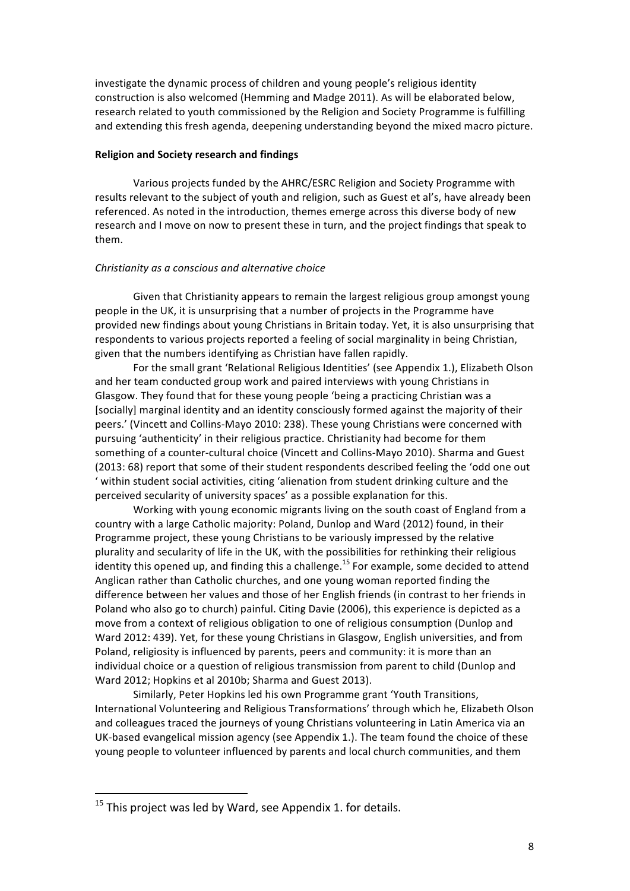investigate the dynamic process of children and young people's religious identity construction is also welcomed (Hemming and Madge 2011). As will be elaborated below, research related to youth commissioned by the Religion and Society Programme is fulfilling and extending this fresh agenda, deepening understanding beyond the mixed macro picture.

#### **Religion and Society research and findings**

Various projects funded by the AHRC/ESRC Religion and Society Programme with results relevant to the subject of youth and religion, such as Guest et al's, have already been referenced. As noted in the introduction, themes emerge across this diverse body of new research and I move on now to present these in turn, and the project findings that speak to them.

#### *Christianity as a conscious and alternative choice*

Given that Christianity appears to remain the largest religious group amongst young people in the UK, it is unsurprising that a number of projects in the Programme have provided new findings about young Christians in Britain today. Yet, it is also unsurprising that respondents to various projects reported a feeling of social marginality in being Christian, given that the numbers identifying as Christian have fallen rapidly.

For the small grant 'Relational Religious Identities' (see Appendix 1.), Elizabeth Olson and her team conducted group work and paired interviews with young Christians in Glasgow. They found that for these young people 'being a practicing Christian was a [socially] marginal identity and an identity consciously formed against the majority of their peers.' (Vincett and Collins-Mayo 2010: 238). These young Christians were concerned with pursuing 'authenticity' in their religious practice. Christianity had become for them something of a counter-cultural choice (Vincett and Collins-Mayo 2010). Sharma and Guest (2013: 68) report that some of their student respondents described feeling the 'odd one out ' within student social activities, citing 'alienation from student drinking culture and the perceived secularity of university spaces' as a possible explanation for this.

Working with young economic migrants living on the south coast of England from a country with a large Catholic majority: Poland, Dunlop and Ward (2012) found, in their Programme project, these young Christians to be variously impressed by the relative plurality and secularity of life in the UK, with the possibilities for rethinking their religious identity this opened up, and finding this a challenge.<sup>15</sup> For example, some decided to attend Anglican rather than Catholic churches, and one young woman reported finding the difference between her values and those of her English friends (in contrast to her friends in Poland who also go to church) painful. Citing Davie (2006), this experience is depicted as a move from a context of religious obligation to one of religious consumption (Dunlop and Ward 2012: 439). Yet, for these young Christians in Glasgow, English universities, and from Poland, religiosity is influenced by parents, peers and community: it is more than an individual choice or a question of religious transmission from parent to child (Dunlop and Ward 2012; Hopkins et al 2010b; Sharma and Guest 2013).

Similarly, Peter Hopkins led his own Programme grant 'Youth Transitions, International Volunteering and Religious Transformations' through which he, Elizabeth Olson and colleagues traced the journeys of young Christians volunteering in Latin America via an UK-based evangelical mission agency (see Appendix 1.). The team found the choice of these young people to volunteer influenced by parents and local church communities, and them

<u> 1989 - Johann Stein, fransk politiker (d. 1989)</u>

 $15$  This project was led by Ward, see Appendix 1. for details.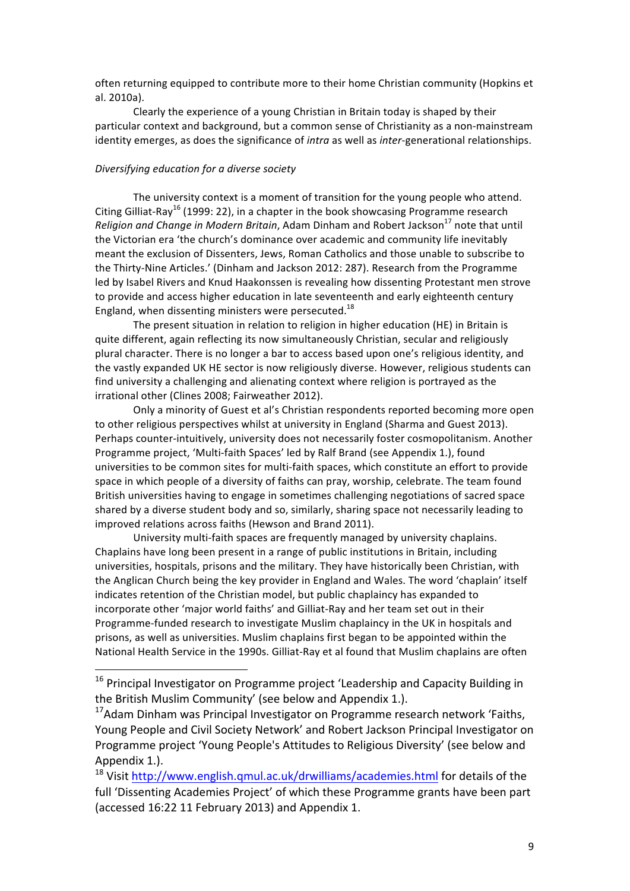often returning equipped to contribute more to their home Christian community (Hopkins et al. 2010a). 

Clearly the experience of a young Christian in Britain today is shaped by their particular context and background, but a common sense of Christianity as a non-mainstream identity emerges, as does the significance of *intra* as well as *inter-generational relationships*.

## *Diversifying education for a diverse society*

<u> 1989 - Johann Stein, fransk politiker (d. 1989)</u>

The university context is a moment of transition for the young people who attend. Citing Gilliat-Ray<sup>16</sup> (1999: 22), in a chapter in the book showcasing Programme research *Religion and Change in Modern Britain,* Adam Dinham and Robert Jackson<sup>17</sup> note that until the Victorian era 'the church's dominance over academic and community life inevitably meant the exclusion of Dissenters, Jews, Roman Catholics and those unable to subscribe to the Thirty-Nine Articles.' (Dinham and Jackson 2012: 287). Research from the Programme led by Isabel Rivers and Knud Haakonssen is revealing how dissenting Protestant men strove to provide and access higher education in late seventeenth and early eighteenth century England, when dissenting ministers were persecuted.<sup>18</sup>

The present situation in relation to religion in higher education (HE) in Britain is quite different, again reflecting its now simultaneously Christian, secular and religiously plural character. There is no longer a bar to access based upon one's religious identity, and the vastly expanded UK HE sector is now religiously diverse. However, religious students can find university a challenging and alienating context where religion is portrayed as the irrational other (Clines 2008; Fairweather 2012).

Only a minority of Guest et al's Christian respondents reported becoming more open to other religious perspectives whilst at university in England (Sharma and Guest 2013). Perhaps counter-intuitively, university does not necessarily foster cosmopolitanism. Another Programme project, 'Multi-faith Spaces' led by Ralf Brand (see Appendix 1.), found universities to be common sites for multi-faith spaces, which constitute an effort to provide space in which people of a diversity of faiths can pray, worship, celebrate. The team found British universities having to engage in sometimes challenging negotiations of sacred space shared by a diverse student body and so, similarly, sharing space not necessarily leading to improved relations across faiths (Hewson and Brand 2011).

University multi-faith spaces are frequently managed by university chaplains. Chaplains have long been present in a range of public institutions in Britain, including universities, hospitals, prisons and the military. They have historically been Christian, with the Anglican Church being the key provider in England and Wales. The word 'chaplain' itself indicates retention of the Christian model, but public chaplaincy has expanded to incorporate other 'major world faiths' and Gilliat-Ray and her team set out in their Programme-funded research to investigate Muslim chaplaincy in the UK in hospitals and prisons, as well as universities. Muslim chaplains first began to be appointed within the National Health Service in the 1990s. Gilliat-Ray et al found that Muslim chaplains are often

 $^{16}$  Principal Investigator on Programme project 'Leadership and Capacity Building in the British Muslim Community' (see below and Appendix 1.).

 $17$ Adam Dinham was Principal Investigator on Programme research network 'Faiths, Young People and Civil Society Network' and Robert Jackson Principal Investigator on Programme project 'Young People's Attitudes to Religious Diversity' (see below and Appendix 1.).

<sup>&</sup>lt;sup>18</sup> Visit http://www.english.qmul.ac.uk/drwilliams/academies.html for details of the full 'Dissenting Academies Project' of which these Programme grants have been part (accessed 16:22 11 February 2013) and Appendix 1.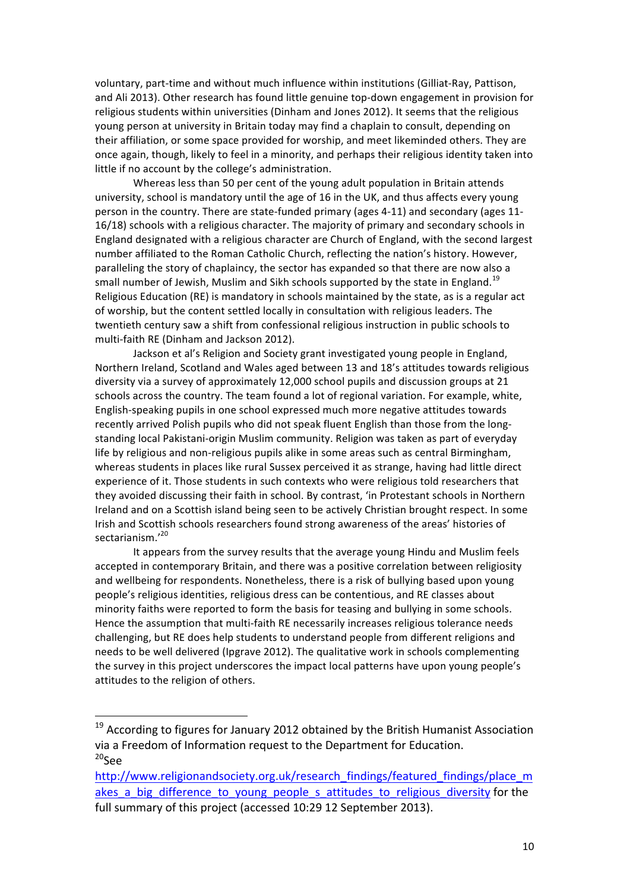voluntary, part-time and without much influence within institutions (Gilliat-Ray, Pattison, and Ali 2013). Other research has found little genuine top-down engagement in provision for religious students within universities (Dinham and Jones 2012). It seems that the religious young person at university in Britain today may find a chaplain to consult, depending on their affiliation, or some space provided for worship, and meet likeminded others. They are once again, though, likely to feel in a minority, and perhaps their religious identity taken into little if no account by the college's administration.

Whereas less than 50 per cent of the young adult population in Britain attends university, school is mandatory until the age of 16 in the UK, and thus affects every young person in the country. There are state-funded primary (ages 4-11) and secondary (ages 11-16/18) schools with a religious character. The majority of primary and secondary schools in England designated with a religious character are Church of England, with the second largest number affiliated to the Roman Catholic Church, reflecting the nation's history. However, paralleling the story of chaplaincy, the sector has expanded so that there are now also a small number of Jewish, Muslim and Sikh schools supported by the state in England.<sup>19</sup> Religious Education  $(RE)$  is mandatory in schools maintained by the state, as is a regular act of worship, but the content settled locally in consultation with religious leaders. The twentieth century saw a shift from confessional religious instruction in public schools to multi-faith RE (Dinham and Jackson 2012).

Jackson et al's Religion and Society grant investigated young people in England, Northern Ireland, Scotland and Wales aged between 13 and 18's attitudes towards religious diversity via a survey of approximately 12,000 school pupils and discussion groups at 21 schools across the country. The team found a lot of regional variation. For example, white, English-speaking pupils in one school expressed much more negative attitudes towards recently arrived Polish pupils who did not speak fluent English than those from the longstanding local Pakistani-origin Muslim community. Religion was taken as part of everyday life by religious and non-religious pupils alike in some areas such as central Birmingham, whereas students in places like rural Sussex perceived it as strange, having had little direct experience of it. Those students in such contexts who were religious told researchers that they avoided discussing their faith in school. By contrast, 'in Protestant schools in Northern Ireland and on a Scottish island being seen to be actively Christian brought respect. In some Irish and Scottish schools researchers found strong awareness of the areas' histories of sectarianism.'<sup>20</sup>

It appears from the survey results that the average young Hindu and Muslim feels accepted in contemporary Britain, and there was a positive correlation between religiosity and wellbeing for respondents. Nonetheless, there is a risk of bullying based upon young people's religious identities, religious dress can be contentious, and RE classes about minority faiths were reported to form the basis for teasing and bullying in some schools. Hence the assumption that multi-faith RE necessarily increases religious tolerance needs challenging, but RE does help students to understand people from different religions and needs to be well delivered (Ipgrave 2012). The qualitative work in schools complementing the survey in this project underscores the impact local patterns have upon young people's attitudes to the religion of others.

 $19$  According to figures for January 2012 obtained by the British Humanist Association via a Freedom of Information request to the Department for Education.  $20$ See

http://www.religionandsociety.org.uk/research\_findings/featured\_findings/place\_m akes a big difference to young people s attitudes to religious diversity for the full summary of this project (accessed 10:29 12 September 2013).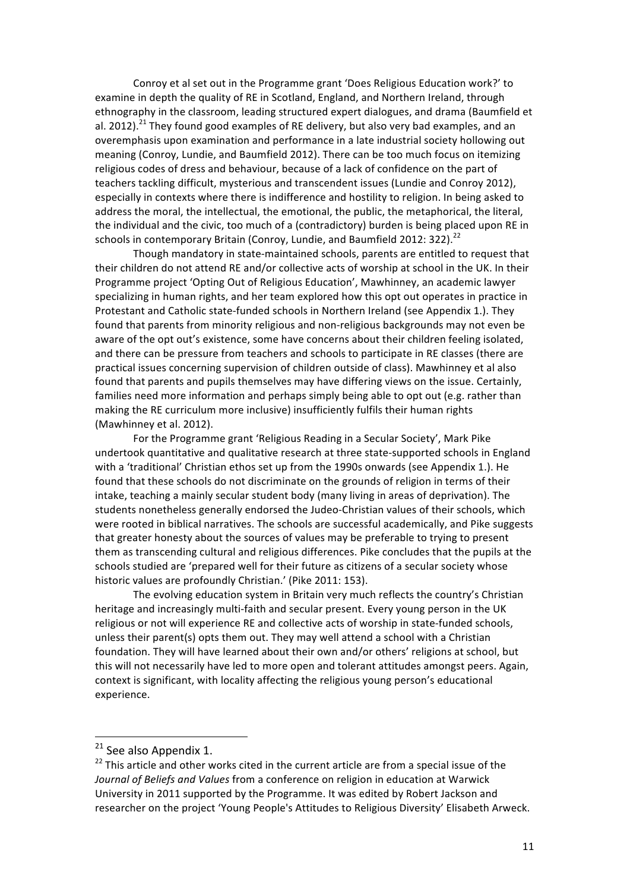Conroy et al set out in the Programme grant 'Does Religious Education work?' to examine in depth the quality of RE in Scotland, England, and Northern Ireland, through ethnography in the classroom, leading structured expert dialogues, and drama (Baumfield et al. 2012).<sup>21</sup> They found good examples of RE delivery, but also very bad examples, and an overemphasis upon examination and performance in a late industrial society hollowing out meaning (Conroy, Lundie, and Baumfield 2012). There can be too much focus on itemizing religious codes of dress and behaviour, because of a lack of confidence on the part of teachers tackling difficult, mysterious and transcendent issues (Lundie and Conroy 2012), especially in contexts where there is indifference and hostility to religion. In being asked to address the moral, the intellectual, the emotional, the public, the metaphorical, the literal, the individual and the civic, too much of a (contradictory) burden is being placed upon RE in schools in contemporary Britain (Conroy, Lundie, and Baumfield 2012: 322).<sup>22</sup>

Though mandatory in state-maintained schools, parents are entitled to request that their children do not attend RE and/or collective acts of worship at school in the UK. In their Programme project 'Opting Out of Religious Education', Mawhinney, an academic lawyer specializing in human rights, and her team explored how this opt out operates in practice in Protestant and Catholic state-funded schools in Northern Ireland (see Appendix 1.). They found that parents from minority religious and non-religious backgrounds may not even be aware of the opt out's existence, some have concerns about their children feeling isolated, and there can be pressure from teachers and schools to participate in RE classes (there are practical issues concerning supervision of children outside of class). Mawhinney et al also found that parents and pupils themselves may have differing views on the issue. Certainly, families need more information and perhaps simply being able to opt out (e.g. rather than making the RE curriculum more inclusive) insufficiently fulfils their human rights (Mawhinney et al. 2012).

For the Programme grant 'Religious Reading in a Secular Society', Mark Pike undertook quantitative and qualitative research at three state-supported schools in England with a 'traditional' Christian ethos set up from the 1990s onwards (see Appendix 1.). He found that these schools do not discriminate on the grounds of religion in terms of their intake, teaching a mainly secular student body (many living in areas of deprivation). The students nonetheless generally endorsed the Judeo-Christian values of their schools, which were rooted in biblical narratives. The schools are successful academically, and Pike suggests that greater honesty about the sources of values may be preferable to trying to present them as transcending cultural and religious differences. Pike concludes that the pupils at the schools studied are 'prepared well for their future as citizens of a secular society whose historic values are profoundly Christian.' (Pike 2011: 153).

The evolving education system in Britain very much reflects the country's Christian heritage and increasingly multi-faith and secular present. Every young person in the UK religious or not will experience RE and collective acts of worship in state-funded schools, unless their parent(s) opts them out. They may well attend a school with a Christian foundation. They will have learned about their own and/or others' religions at school, but this will not necessarily have led to more open and tolerant attitudes amongst peers. Again, context is significant, with locality affecting the religious young person's educational experience.

<u> 1989 - Johann Stein, fransk politiker (d. 1989)</u>

 $21$  See also Appendix 1.

 $22$  This article and other works cited in the current article are from a special issue of the Journal of Beliefs and Values from a conference on religion in education at Warwick University in 2011 supported by the Programme. It was edited by Robert Jackson and researcher on the project 'Young People's Attitudes to Religious Diversity' Elisabeth Arweck.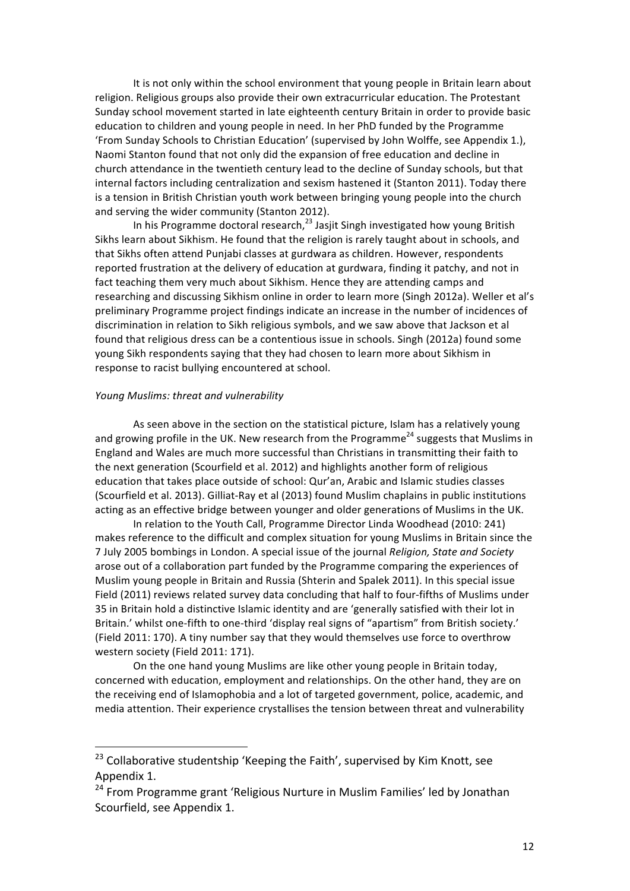It is not only within the school environment that young people in Britain learn about religion. Religious groups also provide their own extracurricular education. The Protestant Sunday school movement started in late eighteenth century Britain in order to provide basic education to children and young people in need. In her PhD funded by the Programme 'From Sunday Schools to Christian Education' (supervised by John Wolffe, see Appendix 1.), Naomi Stanton found that not only did the expansion of free education and decline in church attendance in the twentieth century lead to the decline of Sunday schools, but that internal factors including centralization and sexism hastened it (Stanton 2011). Today there is a tension in British Christian youth work between bringing young people into the church and serving the wider community (Stanton 2012).

In his Programme doctoral research, $^{23}$  Jasjit Singh investigated how young British Sikhs learn about Sikhism. He found that the religion is rarely taught about in schools, and that Sikhs often attend Punjabi classes at gurdwara as children. However, respondents reported frustration at the delivery of education at gurdwara, finding it patchy, and not in fact teaching them very much about Sikhism. Hence they are attending camps and researching and discussing Sikhism online in order to learn more (Singh 2012a). Weller et al's preliminary Programme project findings indicate an increase in the number of incidences of discrimination in relation to Sikh religious symbols, and we saw above that Jackson et al found that religious dress can be a contentious issue in schools. Singh (2012a) found some young Sikh respondents saying that they had chosen to learn more about Sikhism in response to racist bullying encountered at school.

## *Young Muslims: threat and vulnerability*

 

As seen above in the section on the statistical picture, Islam has a relatively young and growing profile in the UK. New research from the Programme<sup>24</sup> suggests that Muslims in England and Wales are much more successful than Christians in transmitting their faith to the next generation (Scourfield et al. 2012) and highlights another form of religious education that takes place outside of school: Qur'an, Arabic and Islamic studies classes (Scourfield et al. 2013). Gilliat-Ray et al (2013) found Muslim chaplains in public institutions acting as an effective bridge between younger and older generations of Muslims in the UK.

In relation to the Youth Call, Programme Director Linda Woodhead (2010: 241) makes reference to the difficult and complex situation for young Muslims in Britain since the 7 July 2005 bombings in London. A special issue of the journal *Religion, State and Society* arose out of a collaboration part funded by the Programme comparing the experiences of Muslim young people in Britain and Russia (Shterin and Spalek 2011). In this special issue Field (2011) reviews related survey data concluding that half to four-fifths of Muslims under 35 in Britain hold a distinctive Islamic identity and are 'generally satisfied with their lot in Britain.' whilst one-fifth to one-third 'display real signs of "apartism" from British society.' (Field 2011: 170). A tiny number say that they would themselves use force to overthrow western society (Field 2011: 171).

On the one hand young Muslims are like other young people in Britain today, concerned with education, employment and relationships. On the other hand, they are on the receiving end of Islamophobia and a lot of targeted government, police, academic, and media attention. Their experience crystallises the tension between threat and vulnerability

 $23$  Collaborative studentship 'Keeping the Faith', supervised by Kim Knott, see Appendix 1.

 $24$  From Programme grant 'Religious Nurture in Muslim Families' led by Jonathan Scourfield, see Appendix 1.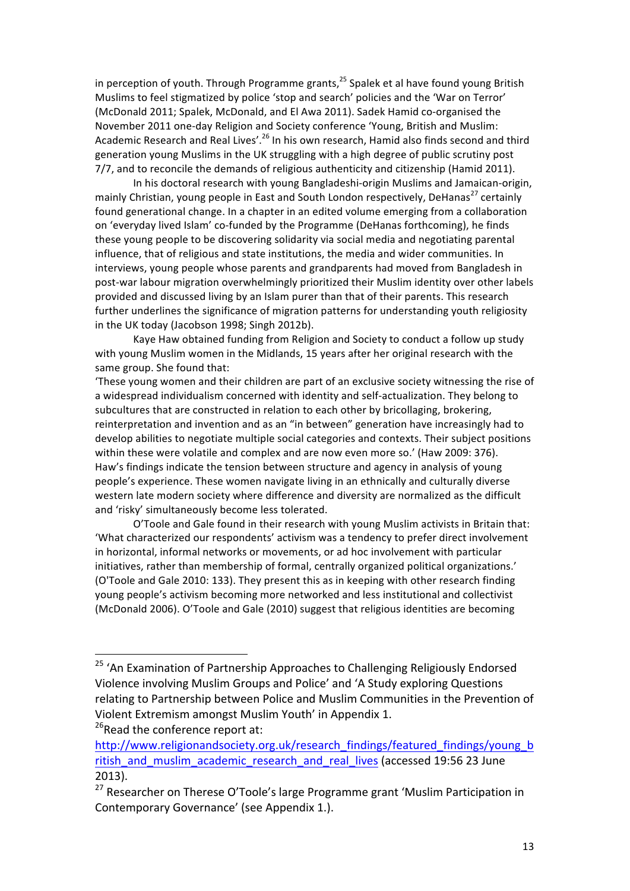in perception of youth. Through Programme grants, $^{25}$  Spalek et al have found young British Muslims to feel stigmatized by police 'stop and search' policies and the 'War on Terror' (McDonald 2011; Spalek, McDonald, and El Awa 2011). Sadek Hamid co-organised the November 2011 one-day Religion and Society conference 'Young, British and Muslim: Academic Research and Real Lives'.<sup>26</sup> In his own research, Hamid also finds second and third generation young Muslims in the UK struggling with a high degree of public scrutiny post  $7/7$ , and to reconcile the demands of religious authenticity and citizenship (Hamid 2011).

In his doctoral research with young Bangladeshi-origin Muslims and Jamaican-origin, mainly Christian, young people in East and South London respectively, DeHanas<sup>27</sup> certainly found generational change. In a chapter in an edited volume emerging from a collaboration on 'everyday lived Islam' co-funded by the Programme (DeHanas forthcoming), he finds these young people to be discovering solidarity via social media and negotiating parental influence, that of religious and state institutions, the media and wider communities. In interviews, young people whose parents and grandparents had moved from Bangladesh in post-war labour migration overwhelmingly prioritized their Muslim identity over other labels provided and discussed living by an Islam purer than that of their parents. This research further underlines the significance of migration patterns for understanding youth religiosity in the UK today (Jacobson 1998; Singh 2012b).

Kaye Haw obtained funding from Religion and Society to conduct a follow up study with young Muslim women in the Midlands, 15 years after her original research with the same group. She found that:

'These young women and their children are part of an exclusive society witnessing the rise of a widespread individualism concerned with identity and self-actualization. They belong to subcultures that are constructed in relation to each other by bricollaging, brokering, reinterpretation and invention and as an "in between" generation have increasingly had to develop abilities to negotiate multiple social categories and contexts. Their subject positions within these were volatile and complex and are now even more so.' (Haw 2009: 376). Haw's findings indicate the tension between structure and agency in analysis of young people's experience. These women navigate living in an ethnically and culturally diverse western late modern society where difference and diversity are normalized as the difficult and 'risky' simultaneously become less tolerated.

O'Toole and Gale found in their research with young Muslim activists in Britain that: 'What characterized our respondents' activism was a tendency to prefer direct involvement in horizontal, informal networks or movements, or ad hoc involvement with particular initiatives, rather than membership of formal, centrally organized political organizations.' (O'Toole and Gale 2010: 133). They present this as in keeping with other research finding young people's activism becoming more networked and less institutional and collectivist (McDonald 2006). O'Toole and Gale (2010) suggest that religious identities are becoming

 $26$ Read the conference report at:

<u> 1989 - Johann Stein, fransk politiker (d. 1989)</u>

<sup>&</sup>lt;sup>25</sup> 'An Examination of Partnership Approaches to Challenging Religiously Endorsed Violence involving Muslim Groups and Police' and 'A Study exploring Questions relating to Partnership between Police and Muslim Communities in the Prevention of Violent Extremism amongst Muslim Youth' in Appendix 1.

http://www.religionandsociety.org.uk/research\_findings/featured\_findings/young\_b ritish and muslim academic research and real lives (accessed 19:56 23 June 2013).

<sup>&</sup>lt;sup>27</sup> Researcher on Therese O'Toole's large Programme grant 'Muslim Participation in Contemporary Governance' (see Appendix 1.).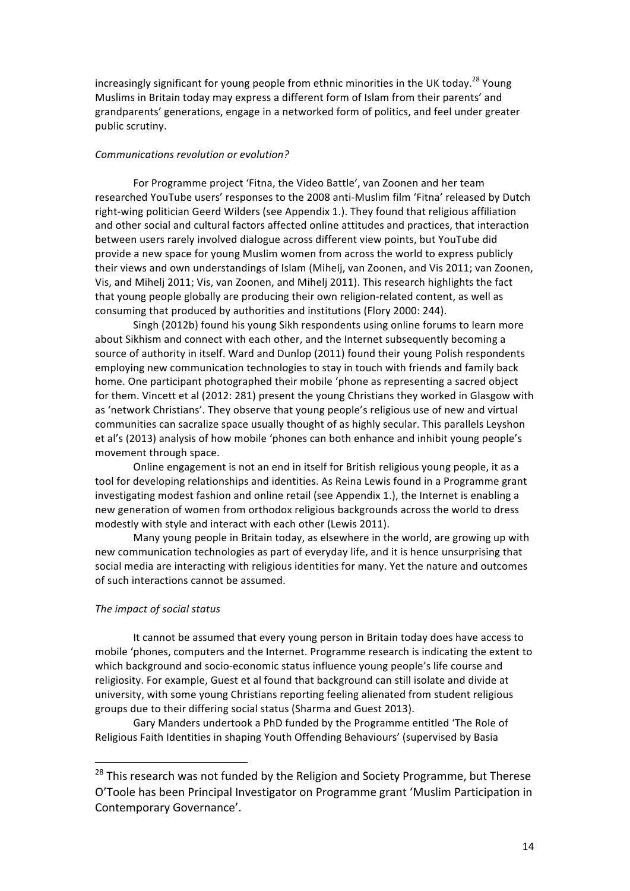increasingly significant for young people from ethnic minorities in the UK today.<sup>28</sup> Young Muslims in Britain today may express a different form of Islam from their parents' and grandparents' generations, engage in a networked form of politics, and feel under greater public scrutiny.

#### *Communications revolution or evolution?*

For Programme project 'Fitna, the Video Battle', van Zoonen and her team researched YouTube users' responses to the 2008 anti-Muslim film 'Fitna' released by Dutch right-wing politician Geerd Wilders (see Appendix 1.). They found that religious affiliation and other social and cultural factors affected online attitudes and practices, that interaction between users rarely involved dialogue across different view points, but YouTube did provide a new space for young Muslim women from across the world to express publicly their views and own understandings of Islam (Mihelj, van Zoonen, and Vis 2011; van Zoonen, Vis, and Mihelj 2011; Vis, van Zoonen, and Mihelj 2011). This research highlights the fact that young people globally are producing their own religion-related content, as well as consuming that produced by authorities and institutions (Flory 2000: 244).

Singh (2012b) found his young Sikh respondents using online forums to learn more about Sikhism and connect with each other, and the Internet subsequently becoming a source of authority in itself. Ward and Dunlop (2011) found their young Polish respondents employing new communication technologies to stay in touch with friends and family back home. One participant photographed their mobile 'phone as representing a sacred object for them. Vincett et al (2012: 281) present the young Christians they worked in Glasgow with as 'network Christians'. They observe that young people's religious use of new and virtual communities can sacralize space usually thought of as highly secular. This parallels Leyshon et al's (2013) analysis of how mobile 'phones can both enhance and inhibit young people's movement through space.

Online engagement is not an end in itself for British religious young people, it as a tool for developing relationships and identities. As Reina Lewis found in a Programme grant investigating modest fashion and online retail (see Appendix 1.), the Internet is enabling a new generation of women from orthodox religious backgrounds across the world to dress modestly with style and interact with each other (Lewis 2011).

Many young people in Britain today, as elsewhere in the world, are growing up with new communication technologies as part of everyday life, and it is hence unsurprising that social media are interacting with religious identities for many. Yet the nature and outcomes of such interactions cannot be assumed.

## The *impact* of social status

 

It cannot be assumed that every young person in Britain today does have access to mobile 'phones, computers and the Internet. Programme research is indicating the extent to which background and socio-economic status influence young people's life course and religiosity. For example, Guest et al found that background can still isolate and divide at university, with some young Christians reporting feeling alienated from student religious groups due to their differing social status (Sharma and Guest 2013).

Gary Manders undertook a PhD funded by the Programme entitled 'The Role of Religious Faith Identities in shaping Youth Offending Behaviours' (supervised by Basia

 $^{28}$  This research was not funded by the Religion and Society Programme, but Therese O'Toole has been Principal Investigator on Programme grant 'Muslim Participation in Contemporary Governance'.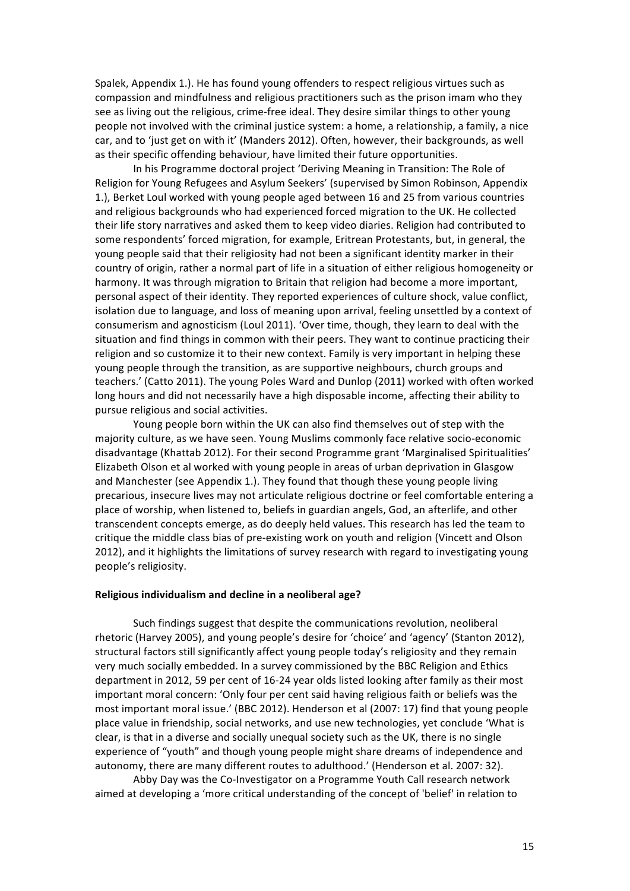Spalek, Appendix 1.). He has found young offenders to respect religious virtues such as compassion and mindfulness and religious practitioners such as the prison imam who they see as living out the religious, crime-free ideal. They desire similar things to other young people not involved with the criminal justice system: a home, a relationship, a family, a nice car, and to 'just get on with it' (Manders 2012). Often, however, their backgrounds, as well as their specific offending behaviour, have limited their future opportunities.

In his Programme doctoral project 'Deriving Meaning in Transition: The Role of Religion for Young Refugees and Asylum Seekers' (supervised by Simon Robinson, Appendix 1.), Berket Loul worked with young people aged between 16 and 25 from various countries and religious backgrounds who had experienced forced migration to the UK. He collected their life story narratives and asked them to keep video diaries. Religion had contributed to some respondents' forced migration, for example, Eritrean Protestants, but, in general, the young people said that their religiosity had not been a significant identity marker in their country of origin, rather a normal part of life in a situation of either religious homogeneity or harmony. It was through migration to Britain that religion had become a more important, personal aspect of their identity. They reported experiences of culture shock, value conflict, isolation due to language, and loss of meaning upon arrival, feeling unsettled by a context of consumerism and agnosticism (Loul 2011). 'Over time, though, they learn to deal with the situation and find things in common with their peers. They want to continue practicing their religion and so customize it to their new context. Family is very important in helping these young people through the transition, as are supportive neighbours, church groups and teachers.' (Catto 2011). The young Poles Ward and Dunlop (2011) worked with often worked long hours and did not necessarily have a high disposable income, affecting their ability to pursue religious and social activities.

Young people born within the UK can also find themselves out of step with the majority culture, as we have seen. Young Muslims commonly face relative socio-economic disadvantage (Khattab 2012). For their second Programme grant 'Marginalised Spiritualities' Elizabeth Olson et al worked with young people in areas of urban deprivation in Glasgow and Manchester (see Appendix 1.). They found that though these young people living precarious, insecure lives may not articulate religious doctrine or feel comfortable entering a place of worship, when listened to, beliefs in guardian angels, God, an afterlife, and other transcendent concepts emerge, as do deeply held values. This research has led the team to critique the middle class bias of pre-existing work on youth and religion (Vincett and Olson 2012), and it highlights the limitations of survey research with regard to investigating young people's religiosity.

### Religious individualism and decline in a neoliberal age?

Such findings suggest that despite the communications revolution, neoliberal rhetoric (Harvey 2005), and young people's desire for 'choice' and 'agency' (Stanton 2012), structural factors still significantly affect young people today's religiosity and they remain very much socially embedded. In a survey commissioned by the BBC Religion and Ethics department in 2012, 59 per cent of 16-24 year olds listed looking after family as their most important moral concern: 'Only four per cent said having religious faith or beliefs was the most important moral issue.' (BBC 2012). Henderson et al (2007: 17) find that young people place value in friendship, social networks, and use new technologies, yet conclude 'What is clear, is that in a diverse and socially unequal society such as the UK, there is no single experience of "youth" and though young people might share dreams of independence and autonomy, there are many different routes to adulthood.' (Henderson et al. 2007: 32).

Abby Day was the Co-Investigator on a Programme Youth Call research network aimed at developing a 'more critical understanding of the concept of 'belief' in relation to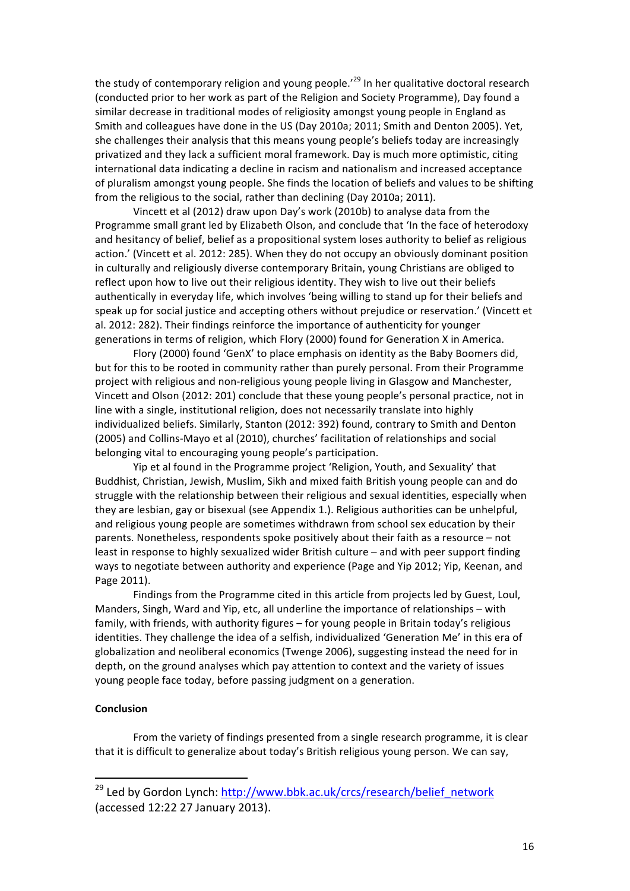the study of contemporary religion and young people.<sup>'29</sup> In her qualitative doctoral research (conducted prior to her work as part of the Religion and Society Programme), Day found a similar decrease in traditional modes of religiosity amongst young people in England as Smith and colleagues have done in the US (Day 2010a; 2011; Smith and Denton 2005). Yet, she challenges their analysis that this means young people's beliefs today are increasingly privatized and they lack a sufficient moral framework. Day is much more optimistic, citing international data indicating a decline in racism and nationalism and increased acceptance of pluralism amongst young people. She finds the location of beliefs and values to be shifting from the religious to the social, rather than declining (Day 2010a; 2011).

Vincett et al (2012) draw upon Day's work (2010b) to analyse data from the Programme small grant led by Elizabeth Olson, and conclude that 'In the face of heterodoxy and hesitancy of belief, belief as a propositional system loses authority to belief as religious action.' (Vincett et al. 2012: 285). When they do not occupy an obviously dominant position in culturally and religiously diverse contemporary Britain, young Christians are obliged to reflect upon how to live out their religious identity. They wish to live out their beliefs authentically in everyday life, which involves 'being willing to stand up for their beliefs and speak up for social justice and accepting others without prejudice or reservation.' (Vincett et al. 2012: 282). Their findings reinforce the importance of authenticity for younger generations in terms of religion, which Flory (2000) found for Generation X in America.

Flory (2000) found 'GenX' to place emphasis on identity as the Baby Boomers did, but for this to be rooted in community rather than purely personal. From their Programme project with religious and non-religious young people living in Glasgow and Manchester, Vincett and Olson (2012: 201) conclude that these young people's personal practice, not in line with a single, institutional religion, does not necessarily translate into highly individualized beliefs. Similarly, Stanton (2012: 392) found, contrary to Smith and Denton (2005) and Collins-Mayo et al (2010), churches' facilitation of relationships and social belonging vital to encouraging young people's participation.

Yip et al found in the Programme project 'Religion, Youth, and Sexuality' that Buddhist, Christian, Jewish, Muslim, Sikh and mixed faith British young people can and do struggle with the relationship between their religious and sexual identities, especially when they are lesbian, gay or bisexual (see Appendix 1.). Religious authorities can be unhelpful, and religious young people are sometimes withdrawn from school sex education by their parents. Nonetheless, respondents spoke positively about their faith as a resource – not least in response to highly sexualized wider British culture  $-$  and with peer support finding ways to negotiate between authority and experience (Page and Yip 2012; Yip, Keenan, and Page 2011).

Findings from the Programme cited in this article from projects led by Guest, Loul, Manders, Singh, Ward and Yip, etc, all underline the importance of relationships – with family, with friends, with authority figures – for young people in Britain today's religious identities. They challenge the idea of a selfish, individualized 'Generation Me' in this era of globalization and neoliberal economics (Twenge 2006), suggesting instead the need for in depth, on the ground analyses which pay attention to context and the variety of issues young people face today, before passing judgment on a generation.

#### **Conclusion**

 

From the variety of findings presented from a single research programme, it is clear that it is difficult to generalize about today's British religious young person. We can say,

<sup>&</sup>lt;sup>29</sup> Led by Gordon Lynch: http://www.bbk.ac.uk/crcs/research/belief\_network (accessed 12:22 27 January 2013).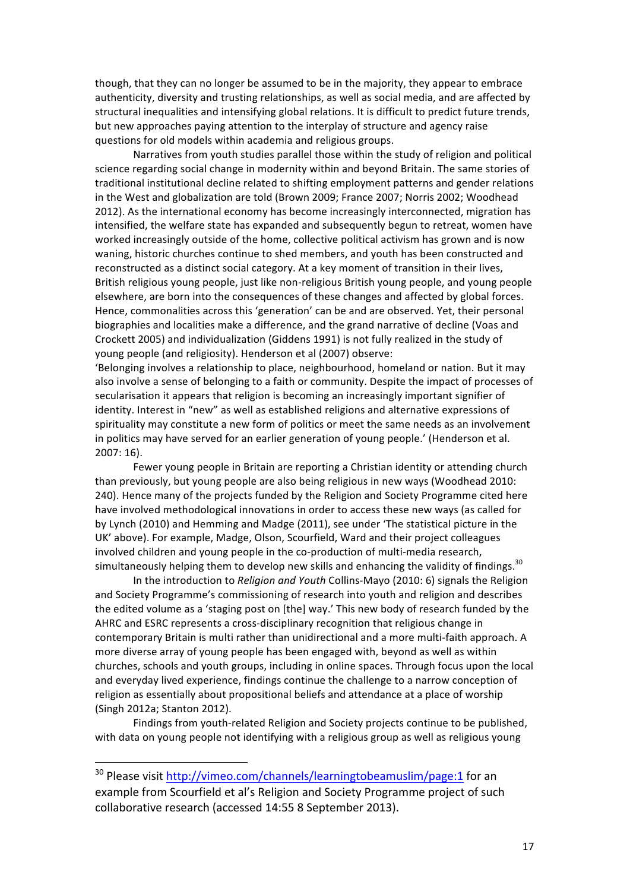though, that they can no longer be assumed to be in the majority, they appear to embrace authenticity, diversity and trusting relationships, as well as social media, and are affected by structural inequalities and intensifying global relations. It is difficult to predict future trends, but new approaches paying attention to the interplay of structure and agency raise questions for old models within academia and religious groups.

Narratives from youth studies parallel those within the study of religion and political science regarding social change in modernity within and beyond Britain. The same stories of traditional institutional decline related to shifting employment patterns and gender relations in the West and globalization are told (Brown 2009; France 2007; Norris 2002; Woodhead 2012). As the international economy has become increasingly interconnected, migration has intensified, the welfare state has expanded and subsequently begun to retreat, women have worked increasingly outside of the home, collective political activism has grown and is now waning, historic churches continue to shed members, and youth has been constructed and reconstructed as a distinct social category. At a key moment of transition in their lives, British religious young people, just like non-religious British young people, and young people elsewhere, are born into the consequences of these changes and affected by global forces. Hence, commonalities across this 'generation' can be and are observed. Yet, their personal biographies and localities make a difference, and the grand narrative of decline (Voas and Crockett 2005) and individualization (Giddens 1991) is not fully realized in the study of young people (and religiosity). Henderson et al (2007) observe:

'Belonging involves a relationship to place, neighbourhood, homeland or nation. But it may also involve a sense of belonging to a faith or community. Despite the impact of processes of secularisation it appears that religion is becoming an increasingly important signifier of identity. Interest in "new" as well as established religions and alternative expressions of spirituality may constitute a new form of politics or meet the same needs as an involvement in politics may have served for an earlier generation of young people.' (Henderson et al. 2007: 16).

Fewer young people in Britain are reporting a Christian identity or attending church than previously, but young people are also being religious in new ways (Woodhead 2010: 240). Hence many of the projects funded by the Religion and Society Programme cited here have involved methodological innovations in order to access these new ways (as called for by Lynch (2010) and Hemming and Madge (2011), see under 'The statistical picture in the UK' above). For example, Madge, Olson, Scourfield, Ward and their project colleagues involved children and young people in the co-production of multi-media research, simultaneously helping them to develop new skills and enhancing the validity of findings.<sup>30</sup>

In the introduction to *Religion and Youth* Collins-Mayo (2010: 6) signals the Religion and Society Programme's commissioning of research into youth and religion and describes the edited volume as a 'staging post on [the] way.' This new body of research funded by the AHRC and ESRC represents a cross-disciplinary recognition that religious change in contemporary Britain is multi rather than unidirectional and a more multi-faith approach. A more diverse array of young people has been engaged with, beyond as well as within churches, schools and youth groups, including in online spaces. Through focus upon the local and everyday lived experience, findings continue the challenge to a narrow conception of religion as essentially about propositional beliefs and attendance at a place of worship (Singh 2012a; Stanton 2012).

Findings from youth-related Religion and Society projects continue to be published, with data on young people not identifying with a religious group as well as religious young

<sup>&</sup>lt;sup>30</sup> Please visit http://vimeo.com/channels/learningtobeamuslim/page:1 for an example from Scourfield et al's Religion and Society Programme project of such collaborative research (accessed 14:55 8 September 2013).